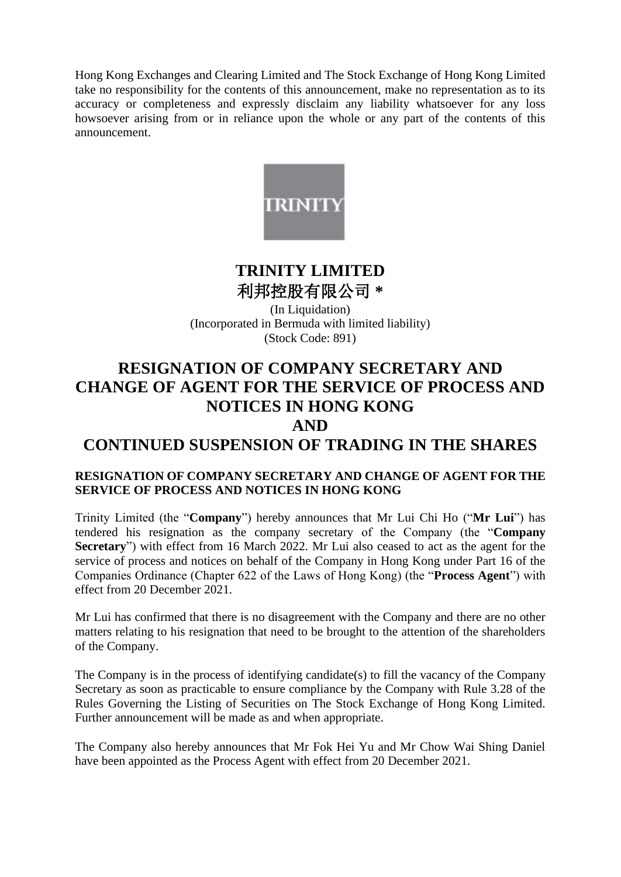Hong Kong Exchanges and Clearing Limited and The Stock Exchange of Hong Kong Limited take no responsibility for the contents of this announcement, make no representation as to its accuracy or completeness and expressly disclaim any liability whatsoever for any loss howsoever arising from or in reliance upon the whole or any part of the contents of this announcement.



# **TRINITY LIMITED** 利邦控股有限公司 **\***

(In Liquidation) (Incorporated in Bermuda with limited liability) (Stock Code: 891)

### **RESIGNATION OF COMPANY SECRETARY AND CHANGE OF AGENT FOR THE SERVICE OF PROCESS AND NOTICES IN HONG KONG AND**

## **CONTINUED SUSPENSION OF TRADING IN THE SHARES**

#### **RESIGNATION OF COMPANY SECRETARY AND CHANGE OF AGENT FOR THE SERVICE OF PROCESS AND NOTICES IN HONG KONG**

Trinity Limited (the "**Company**") hereby announces that Mr Lui Chi Ho ("**Mr Lui**") has tendered his resignation as the company secretary of the Company (the "**Company Secretary**") with effect from 16 March 2022. Mr Lui also ceased to act as the agent for the service of process and notices on behalf of the Company in Hong Kong under Part 16 of the Companies Ordinance (Chapter 622 of the Laws of Hong Kong) (the "**Process Agent**") with effect from 20 December 2021.

Mr Lui has confirmed that there is no disagreement with the Company and there are no other matters relating to his resignation that need to be brought to the attention of the shareholders of the Company.

The Company is in the process of identifying candidate(s) to fill the vacancy of the Company Secretary as soon as practicable to ensure compliance by the Company with Rule 3.28 of the Rules Governing the Listing of Securities on The Stock Exchange of Hong Kong Limited. Further announcement will be made as and when appropriate.

The Company also hereby announces that Mr Fok Hei Yu and Mr Chow Wai Shing Daniel have been appointed as the Process Agent with effect from 20 December 2021.